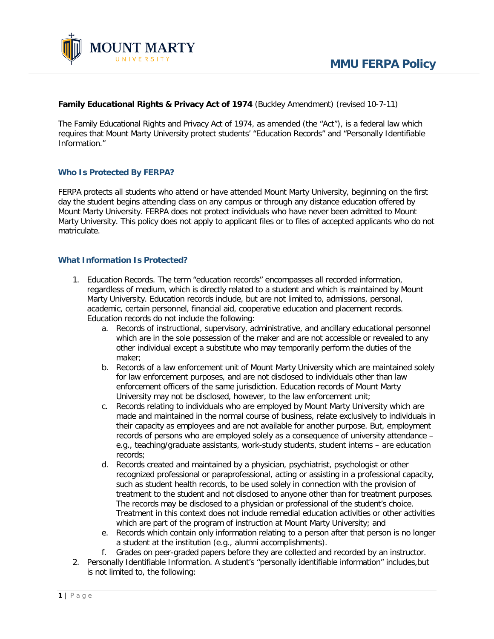#### **Family Educational Rights & Privacy Act of 1974** (Buckley Amendment) (revised 10-7-11)

The Family Educational Rights and Privacy Act of 1974, as amended (the "Act"), is a federal law which requires that Mount Marty University protect students' "Education Records" and "Personally Identifiable Information."

## **Who Is Protected By FERPA?**

FERPA protects all students who attend or have attended Mount Marty University, beginning on the first day the student begins attending class on any campus or through any distance education offered by Mount Marty University. FERPA does not protect individuals who have never been admitted to Mount Marty University. This policy does not apply to applicant files or to files of accepted applicants who do not matriculate.

#### **What Information Is Protected?**

- 1. Education Records. The term "education records" encompasses all recorded information, regardless of medium, which is directly related to a student and which is maintained by Mount Marty University. Education records include, but are not limited to, admissions, personal, academic, certain personnel, financial aid, cooperative education and placement records. Education records do not include the following:
	- a. Records of instructional, supervisory, administrative, and ancillary educational personnel which are in the sole possession of the maker and are not accessible or revealed to any other individual except a substitute who may temporarily perform the duties of the maker;
	- b. Records of a law enforcement unit of Mount Marty University which are maintained solely for law enforcement purposes, and are not disclosed to individuals other than law enforcement officers of the same jurisdiction. Education records of Mount Marty University may not be disclosed, however, to the law enforcement unit;
	- c. Records relating to individuals who are employed by Mount Marty University which are made and maintained in the normal course of business, relate exclusively to individuals in their capacity as employees and are not available for another purpose. But, employment records of persons who are employed solely as a consequence of university attendance – e.g., teaching/graduate assistants, work-study students, student interns – are education records;
	- d. Records created and maintained by a physician, psychiatrist, psychologist or other recognized professional or paraprofessional, acting or assisting in a professional capacity, such as student health records, to be used solely in connection with the provision of treatment to the student and not disclosed to anyone other than for treatment purposes. The records may be disclosed to a physician or professional of the student's choice. Treatment in this context does not include remedial education activities or other activities which are part of the program of instruction at Mount Marty University; and
	- e. Records which contain only information relating to a person after that person is no longer a student at the institution (e.g., alumni accomplishments).
	- f. Grades on peer-graded papers before they are collected and recorded by an instructor.
- 2. Personally Identifiable Information. A student's "personally identifiable information" includes,but is not limited to, the following: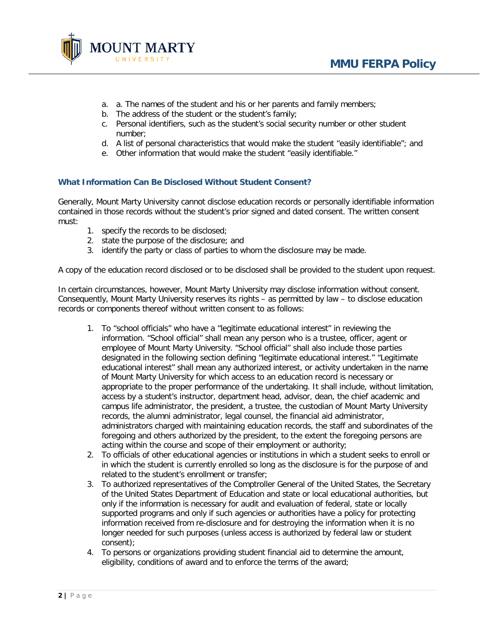

- a. a. The names of the student and his or her parents and family members;
- b. The address of the student or the student's family;
- c. Personal identifiers, such as the student's social security number or other student number;
- d. A list of personal characteristics that would make the student "easily identifiable"; and
- e. Other information that would make the student "easily identifiable."

# **What Information Can Be Disclosed Without Student Consent?**

Generally, Mount Marty University cannot disclose education records or personally identifiable information contained in those records without the student's prior signed and dated consent. The written consent must:

- 1. specify the records to be disclosed;
- 2. state the purpose of the disclosure; and
- 3. identify the party or class of parties to whom the disclosure may be made.

A copy of the education record disclosed or to be disclosed shall be provided to the student upon request.

In certain circumstances, however, Mount Marty University may disclose information without consent. Consequently, Mount Marty University reserves its rights – as permitted by law – to disclose education records or components thereof without written consent to as follows:

- 1. To "school officials" who have a "legitimate educational interest" in reviewing the information. "School official" shall mean any person who is a trustee, officer, agent or employee of Mount Marty University. "School official" shall also include those parties designated in the following section defining "legitimate educational interest." "Legitimate educational interest" shall mean any authorized interest, or activity undertaken in the name of Mount Marty University for which access to an education record is necessary or appropriate to the proper performance of the undertaking. It shall include, without limitation, access by a student's instructor, department head, advisor, dean, the chief academic and campus life administrator, the president, a trustee, the custodian of Mount Marty University records, the alumni administrator, legal counsel, the financial aid administrator, administrators charged with maintaining education records, the staff and subordinates of the foregoing and others authorized by the president, to the extent the foregoing persons are acting within the course and scope of their employment or authority;
- 2. To officials of other educational agencies or institutions in which a student seeks to enroll or in which the student is currently enrolled so long as the disclosure is for the purpose of and related to the student's enrollment or transfer;
- 3. To authorized representatives of the Comptroller General of the United States, the Secretary of the United States Department of Education and state or local educational authorities, but only if the information is necessary for audit and evaluation of federal, state or locally supported programs and only if such agencies or authorities have a policy for protecting information received from re-disclosure and for destroying the information when it is no longer needed for such purposes (unless access is authorized by federal law or student consent);
- 4. To persons or organizations providing student financial aid to determine the amount, eligibility, conditions of award and to enforce the terms of the award;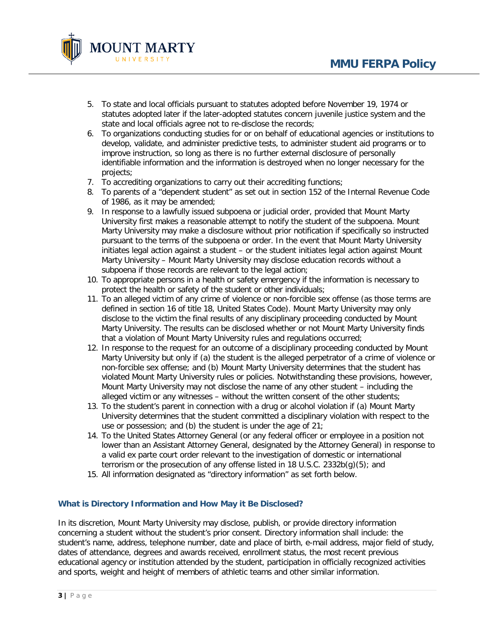

- 5. To state and local officials pursuant to statutes adopted before November 19, 1974 or statutes adopted later if the later-adopted statutes concern juvenile justice system and the state and local officials agree not to re-disclose the records;
- 6. To organizations conducting studies for or on behalf of educational agencies or institutions to develop, validate, and administer predictive tests, to administer student aid programs or to improve instruction, so long as there is no further external disclosure of personally identifiable information and the information is destroyed when no longer necessary for the projects;
- 7. To accrediting organizations to carry out their accrediting functions;
- 8. To parents of a "dependent student" as set out in section 152 of the Internal Revenue Code of 1986, as it may be amended;
- 9. In response to a lawfully issued subpoena or judicial order, provided that Mount Marty University first makes a reasonable attempt to notify the student of the subpoena. Mount Marty University may make a disclosure without prior notification if specifically so instructed pursuant to the terms of the subpoena or order. In the event that Mount Marty University initiates legal action against a student – or the student initiates legal action against Mount Marty University – Mount Marty University may disclose education records without a subpoena if those records are relevant to the legal action;
- 10. To appropriate persons in a health or safety emergency if the information is necessary to protect the health or safety of the student or other individuals;
- 11. To an alleged victim of any crime of violence or non-forcible sex offense (as those terms are defined in section 16 of title 18, United States Code). Mount Marty University may only disclose to the victim the final results of any disciplinary proceeding conducted by Mount Marty University. The results can be disclosed whether or not Mount Marty University finds that a violation of Mount Marty University rules and regulations occurred;
- 12. In response to the request for an outcome of a disciplinary proceeding conducted by Mount Marty University but only if (a) the student is the alleged perpetrator of a crime of violence or non-forcible sex offense; and (b) Mount Marty University determines that the student has violated Mount Marty University rules or policies. Notwithstanding these provisions, however, Mount Marty University may not disclose the name of any other student – including the alleged victim or any witnesses – without the written consent of the other students;
- 13. To the student's parent in connection with a drug or alcohol violation if (a) Mount Marty University determines that the student committed a disciplinary violation with respect to the use or possession; and (b) the student is under the age of 21;
- 14. To the United States Attorney General (or any federal officer or employee in a position not lower than an Assistant Attorney General, designated by the Attorney General) in response to a valid ex parte court order relevant to the investigation of domestic or international terrorism or the prosecution of any offense listed in 18 U.S.C. 2332b(g)(5); and
- 15. All information designated as "directory information" as set forth below.

## **What is Directory Information and How May it Be Disclosed?**

In its discretion, Mount Marty University may disclose, publish, or provide directory information concerning a student without the student's prior consent. Directory information shall include: the student's name, address, telephone number, date and place of birth, e-mail address, major field of study, dates of attendance, degrees and awards received, enrollment status, the most recent previous educational agency or institution attended by the student, participation in officially recognized activities and sports, weight and height of members of athletic teams and other similar information.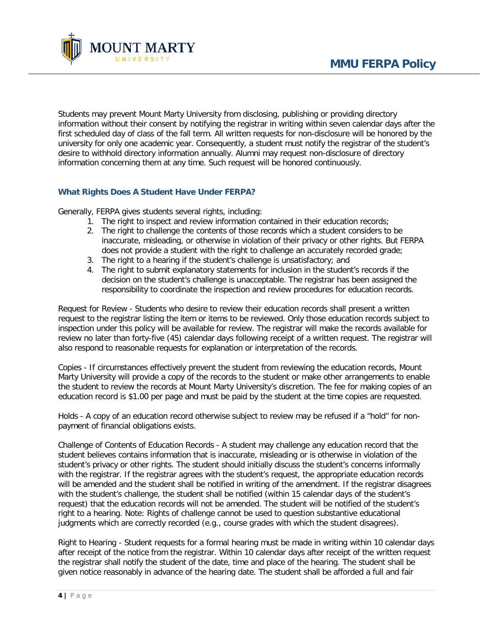

Students may prevent Mount Marty University from disclosing, publishing or providing directory information without their consent by notifying the registrar in writing within seven calendar days after the first scheduled day of class of the fall term. All written requests for non-disclosure will be honored by the university for only one academic year. Consequently, a student must notify the registrar of the student's desire to withhold directory information annually. Alumni may request non-disclosure of directory information concerning them at any time. Such request will be honored continuously.

# **What Rights Does A Student Have Under FERPA?**

Generally, FERPA gives students several rights, including:

- 1. The right to inspect and review information contained in their education records;
- 2. The right to challenge the contents of those records which a student considers to be inaccurate, misleading, or otherwise in violation of their privacy or other rights. But FERPA does not provide a student with the right to challenge an accurately recorded grade;
- 3. The right to a hearing if the student's challenge is unsatisfactory; and
- 4. The right to submit explanatory statements for inclusion in the student's records if the decision on the student's challenge is unacceptable. The registrar has been assigned the responsibility to coordinate the inspection and review procedures for education records.

Request for Review - Students who desire to review their education records shall present a written request to the registrar listing the item or items to be reviewed. Only those education records subject to inspection under this policy will be available for review. The registrar will make the records available for review no later than forty-five (45) calendar days following receipt of a written request. The registrar will also respond to reasonable requests for explanation or interpretation of the records.

Copies - If circumstances effectively prevent the student from reviewing the education records, Mount Marty University will provide a copy of the records to the student or make other arrangements to enable the student to review the records at Mount Marty University's discretion. The fee for making copies of an education record is \$1.00 per page and must be paid by the student at the time copies are requested.

Holds - A copy of an education record otherwise subject to review may be refused if a "hold" for nonpayment of financial obligations exists.

Challenge of Contents of Education Records - A student may challenge any education record that the student believes contains information that is inaccurate, misleading or is otherwise in violation of the student's privacy or other rights. The student should initially discuss the student's concerns informally with the registrar. If the registrar agrees with the student's request, the appropriate education records will be amended and the student shall be notified in writing of the amendment. If the registrar disagrees with the student's challenge, the student shall be notified (within 15 calendar days of the student's request) that the education records will not be amended. The student will be notified of the student's right to a hearing. Note: Rights of challenge cannot be used to question substantive educational judgments which are correctly recorded (e.g., course grades with which the student disagrees).

Right to Hearing - Student requests for a formal hearing must be made in writing within 10 calendar days after receipt of the notice from the registrar. Within 10 calendar days after receipt of the written request the registrar shall notify the student of the date, time and place of the hearing. The student shall be given notice reasonably in advance of the hearing date. The student shall be afforded a full and fair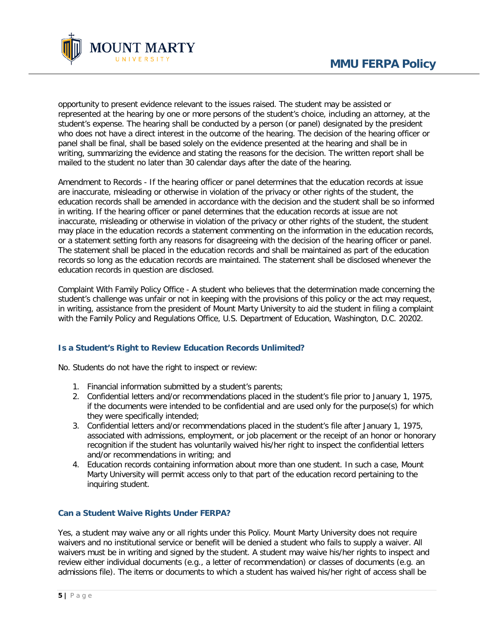

opportunity to present evidence relevant to the issues raised. The student may be assisted or represented at the hearing by one or more persons of the student's choice, including an attorney, at the student's expense. The hearing shall be conducted by a person (or panel) designated by the president who does not have a direct interest in the outcome of the hearing. The decision of the hearing officer or panel shall be final, shall be based solely on the evidence presented at the hearing and shall be in writing, summarizing the evidence and stating the reasons for the decision. The written report shall be mailed to the student no later than 30 calendar days after the date of the hearing.

Amendment to Records - If the hearing officer or panel determines that the education records at issue are inaccurate, misleading or otherwise in violation of the privacy or other rights of the student, the education records shall be amended in accordance with the decision and the student shall be so informed in writing. If the hearing officer or panel determines that the education records at issue are not inaccurate, misleading or otherwise in violation of the privacy or other rights of the student, the student may place in the education records a statement commenting on the information in the education records, or a statement setting forth any reasons for disagreeing with the decision of the hearing officer or panel. The statement shall be placed in the education records and shall be maintained as part of the education records so long as the education records are maintained. The statement shall be disclosed whenever the education records in question are disclosed.

Complaint With Family Policy Office - A student who believes that the determination made concerning the student's challenge was unfair or not in keeping with the provisions of this policy or the act may request, in writing, assistance from the president of Mount Marty University to aid the student in filing a complaint with the Family Policy and Regulations Office, U.S. Department of Education, Washington, D.C. 20202.

## **Is a Student's Right to Review Education Records Unlimited?**

No. Students do not have the right to inspect or review:

- 1. Financial information submitted by a student's parents;
- 2. Confidential letters and/or recommendations placed in the student's file prior to January 1, 1975, if the documents were intended to be confidential and are used only for the purpose(s) for which they were specifically intended;
- 3. Confidential letters and/or recommendations placed in the student's file after January 1, 1975, associated with admissions, employment, or job placement or the receipt of an honor or honorary recognition if the student has voluntarily waived his/her right to inspect the confidential letters and/or recommendations in writing; and
- 4. Education records containing information about more than one student. In such a case, Mount Marty University will permit access only to that part of the education record pertaining to the inquiring student.

## **Can a Student Waive Rights Under FERPA?**

Yes, a student may waive any or all rights under this Policy. Mount Marty University does not require waivers and no institutional service or benefit will be denied a student who fails to supply a waiver. All waivers must be in writing and signed by the student. A student may waive his/her rights to inspect and review either individual documents (e.g., a letter of recommendation) or classes of documents (e.g. an admissions file). The items or documents to which a student has waived his/her right of access shall be